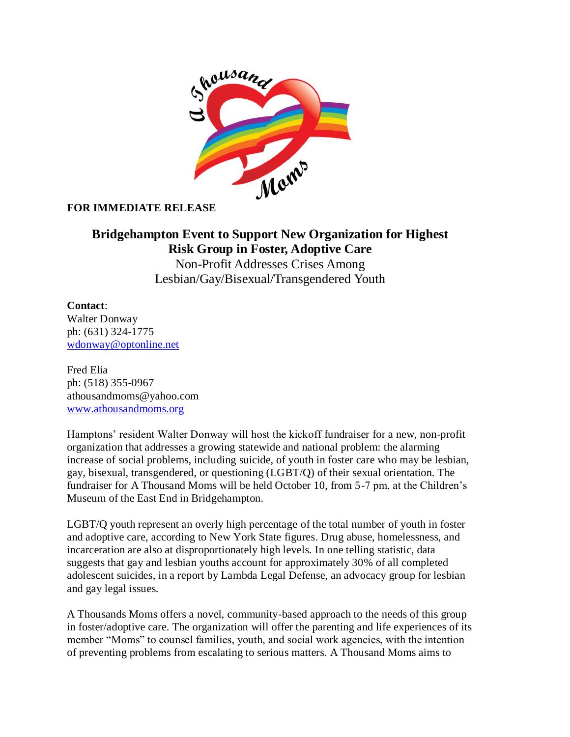

## **FOR IMMEDIATE RELEASE**

## **Bridgehampton Event to Support New Organization for Highest Risk Group in Foster, Adoptive Care**

Non-Profit Addresses Crises Among Lesbian/Gay/Bisexual/Transgendered Youth

## **Contact**:

Walter Donway ph: (631) 324-1775 [wdonway@optonline.net](mailto:wdonway@optonline.net)

Fred Elia ph: (518) 355-0967 athousandmoms@yahoo.com [www.athousandmoms.org](http://www.athousandmoms.org/)

Hamptons' resident Walter Donway will host the kickoff fundraiser for a new, non-profit organization that addresses a growing statewide and national problem: the alarming increase of social problems, including suicide, of youth in foster care who may be lesbian, gay, bisexual, transgendered, or questioning (LGBT/Q) of their sexual orientation. The fundraiser for A Thousand Moms will be held October 10, from 5-7 pm, at the Children's Museum of the East End in Bridgehampton.

LGBT/Q youth represent an overly high percentage of the total number of youth in foster and adoptive care, according to New York State figures. Drug abuse, homelessness, and incarceration are also at disproportionately high levels. In one telling statistic, data suggests that gay and lesbian youths account for approximately 30% of all completed adolescent suicides, in a report by Lambda Legal Defense, an advocacy group for lesbian and gay legal issues.

A Thousands Moms offers a novel, community-based approach to the needs of this group in foster/adoptive care. The organization will offer the parenting and life experiences of its member "Moms" to counsel families, youth, and social work agencies, with the intention of preventing problems from escalating to serious matters. A Thousand Moms aims to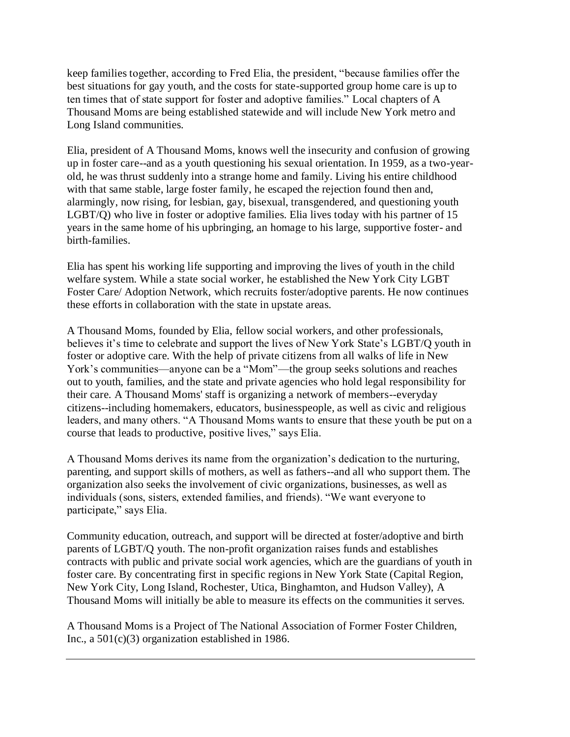keep families together, according to Fred Elia, the president, "because families offer the best situations for gay youth, and the costs for state-supported group home care is up to ten times that of state support for foster and adoptive families." Local chapters of A Thousand Moms are being established statewide and will include New York metro and Long Island communities.

Elia, president of A Thousand Moms, knows well the insecurity and confusion of growing up in foster care--and as a youth questioning his sexual orientation. In 1959, as a two-yearold, he was thrust suddenly into a strange home and family. Living his entire childhood with that same stable, large foster family, he escaped the rejection found then and, alarmingly, now rising, for lesbian, gay, bisexual, transgendered, and questioning youth LGBT/Q) who live in foster or adoptive families. Elia lives today with his partner of 15 years in the same home of his upbringing, an homage to his large, supportive foster- and birth-families.

Elia has spent his working life supporting and improving the lives of youth in the child welfare system. While a state social worker, he established the New York City LGBT Foster Care/ Adoption Network, which recruits foster/adoptive parents. He now continues these efforts in collaboration with the state in upstate areas.

A Thousand Moms, founded by Elia, fellow social workers, and other professionals, believes it's time to celebrate and support the lives of New York State's LGBT/Q youth in foster or adoptive care. With the help of private citizens from all walks of life in New York's communities—anyone can be a "Mom"—the group seeks solutions and reaches out to youth, families, and the state and private agencies who hold legal responsibility for their care. A Thousand Moms' staff is organizing a network of members--everyday citizens--including homemakers, educators, businesspeople, as well as civic and religious leaders, and many others. "A Thousand Moms wants to ensure that these youth be put on a course that leads to productive, positive lives," says Elia.

A Thousand Moms derives its name from the organization's dedication to the nurturing, parenting, and support skills of mothers, as well as fathers--and all who support them. The organization also seeks the involvement of civic organizations, businesses, as well as individuals (sons, sisters, extended families, and friends). "We want everyone to participate," says Elia.

Community education, outreach, and support will be directed at foster/adoptive and birth parents of LGBT/Q youth. The non-profit organization raises funds and establishes contracts with public and private social work agencies, which are the guardians of youth in foster care. By concentrating first in specific regions in New York State (Capital Region, New York City, Long Island, Rochester, Utica, Binghamton, and Hudson Valley), A Thousand Moms will initially be able to measure its effects on the communities it serves.

A Thousand Moms is a Project of The National Association of Former Foster Children, Inc., a 501(c)(3) organization established in 1986.